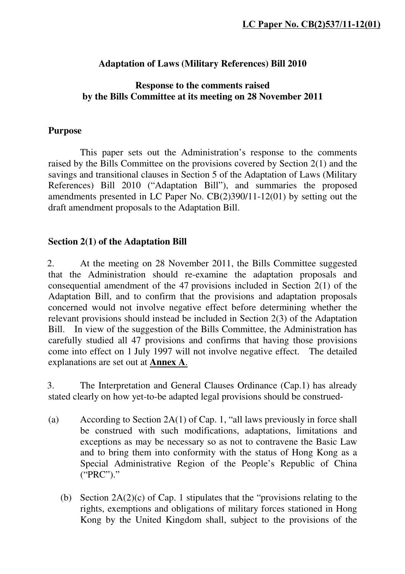### **Adaptation of Laws (Military References) Bill 2010**

### **Response to the comments raised by the Bills Committee at its meeting on 28 November 2011**

#### **Purpose**

 This paper sets out the Administration's response to the comments raised by the Bills Committee on the provisions covered by Section 2(1) and the savings and transitional clauses in Section 5 of the Adaptation of Laws (Military References) Bill 2010 ("Adaptation Bill"), and summaries the proposed amendments presented in LC Paper No. CB(2)390/11-12(01) by setting out the draft amendment proposals to the Adaptation Bill.

#### **Section 2(1) of the Adaptation Bill**

2. At the meeting on 28 November 2011, the Bills Committee suggested that the Administration should re-examine the adaptation proposals and consequential amendment of the 47 provisions included in Section 2(1) of the Adaptation Bill, and to confirm that the provisions and adaptation proposals concerned would not involve negative effect before determining whether the relevant provisions should instead be included in Section 2(3) of the Adaptation Bill. In view of the suggestion of the Bills Committee, the Administration has carefully studied all 47 provisions and confirms that having those provisions come into effect on 1 July 1997 will not involve negative effect. The detailed explanations are set out at **Annex A**.

3. The Interpretation and General Clauses Ordinance (Cap.1) has already stated clearly on how yet-to-be adapted legal provisions should be construed-

- (a) According to Section 2A(1) of Cap. 1, "all laws previously in force shall be construed with such modifications, adaptations, limitations and exceptions as may be necessary so as not to contravene the Basic Law and to bring them into conformity with the status of Hong Kong as a Special Administrative Region of the People's Republic of China ("PRC")."
	- (b) Section 2A(2)(c) of Cap. 1 stipulates that the "provisions relating to the rights, exemptions and obligations of military forces stationed in Hong Kong by the United Kingdom shall, subject to the provisions of the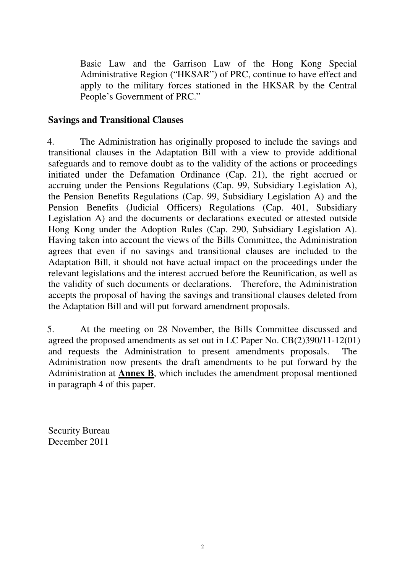Basic Law and the Garrison Law of the Hong Kong Special Administrative Region ("HKSAR") of PRC, continue to have effect and apply to the military forces stationed in the HKSAR by the Central People's Government of PRC."

### **Savings and Transitional Clauses**

4. The Administration has originally proposed to include the savings and transitional clauses in the Adaptation Bill with a view to provide additional safeguards and to remove doubt as to the validity of the actions or proceedings initiated under the Defamation Ordinance (Cap. 21), the right accrued or accruing under the Pensions Regulations (Cap. 99, Subsidiary Legislation A), the Pension Benefits Regulations (Cap. 99, Subsidiary Legislation A) and the Pension Benefits (Judicial Officers) Regulations (Cap. 401, Subsidiary Legislation A) and the documents or declarations executed or attested outside Hong Kong under the Adoption Rules (Cap. 290, Subsidiary Legislation A). Having taken into account the views of the Bills Committee, the Administration agrees that even if no savings and transitional clauses are included to the Adaptation Bill, it should not have actual impact on the proceedings under the relevant legislations and the interest accrued before the Reunification, as well as the validity of such documents or declarations. Therefore, the Administration accepts the proposal of having the savings and transitional clauses deleted from the Adaptation Bill and will put forward amendment proposals.

5. At the meeting on 28 November, the Bills Committee discussed and agreed the proposed amendments as set out in LC Paper No. CB(2)390/11-12(01) and requests the Administration to present amendments proposals. The Administration now presents the draft amendments to be put forward by the Administration at **Annex B**, which includes the amendment proposal mentioned in paragraph 4 of this paper.

Security Bureau December 2011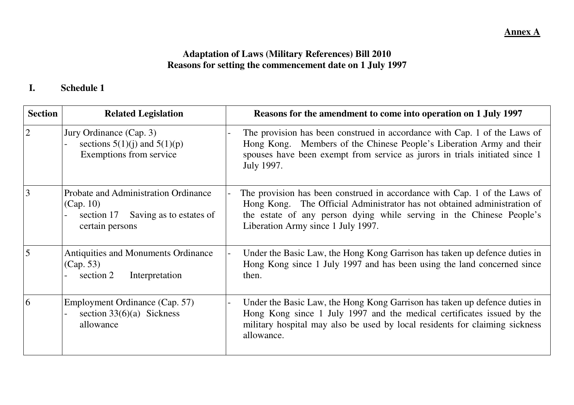#### **Annex A**

# **Adaptation of Laws (Military References) Bill 2010 Reasons for setting the commencement date on 1 July 1997**

#### **I.Schedule 1**

| <b>Section</b> | <b>Related Legislation</b>                                                                                        | Reasons for the amendment to come into operation on 1 July 1997                                                                                                                                                                                                     |
|----------------|-------------------------------------------------------------------------------------------------------------------|---------------------------------------------------------------------------------------------------------------------------------------------------------------------------------------------------------------------------------------------------------------------|
| $\overline{2}$ | Jury Ordinance (Cap. 3)<br>sections $5(1)(j)$ and $5(1)(p)$<br>Exemptions from service                            | The provision has been construed in accordance with Cap. 1 of the Laws of<br>Hong Kong. Members of the Chinese People's Liberation Army and their<br>spouses have been exempt from service as jurors in trials initiated since 1<br>July 1997.                      |
| 3              | <b>Probate and Administration Ordinance</b><br>(Cap. 10)<br>section 17 Saving as to estates of<br>certain persons | The provision has been construed in accordance with Cap. 1 of the Laws of<br>Hong Kong. The Official Administrator has not obtained administration of<br>the estate of any person dying while serving in the Chinese People's<br>Liberation Army since 1 July 1997. |
| 5              | <b>Antiquities and Monuments Ordinance</b><br>(Cap. 53)<br>section 2<br>Interpretation                            | Under the Basic Law, the Hong Kong Garrison has taken up defence duties in<br>Hong Kong since 1 July 1997 and has been using the land concerned since<br>then.                                                                                                      |
| $\overline{6}$ | Employment Ordinance (Cap. 57)<br>section $33(6)(a)$ Sickness<br>allowance                                        | Under the Basic Law, the Hong Kong Garrison has taken up defence duties in<br>Hong Kong since 1 July 1997 and the medical certificates issued by the<br>military hospital may also be used by local residents for claiming sickness<br>allowance.                   |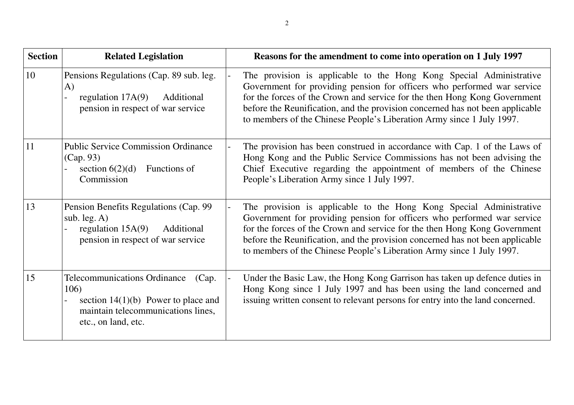| <b>Section</b> | <b>Related Legislation</b>                                                                                                                                 | Reasons for the amendment to come into operation on 1 July 1997                                                                                                                                                                                                                                                                                                                       |
|----------------|------------------------------------------------------------------------------------------------------------------------------------------------------------|---------------------------------------------------------------------------------------------------------------------------------------------------------------------------------------------------------------------------------------------------------------------------------------------------------------------------------------------------------------------------------------|
| 10             | Pensions Regulations (Cap. 89 sub. leg.<br>$\bf{A}$<br>regulation $17A(9)$<br>Additional<br>pension in respect of war service                              | The provision is applicable to the Hong Kong Special Administrative<br>Government for providing pension for officers who performed war service<br>for the forces of the Crown and service for the then Hong Kong Government<br>before the Reunification, and the provision concerned has not been applicable<br>to members of the Chinese People's Liberation Army since 1 July 1997. |
| 11             | <b>Public Service Commission Ordinance</b><br>(Cap. 93)<br>Functions of<br>section $6(2)(d)$<br>Commission                                                 | The provision has been construed in accordance with Cap. 1 of the Laws of<br>Hong Kong and the Public Service Commissions has not been advising the<br>Chief Executive regarding the appointment of members of the Chinese<br>People's Liberation Army since 1 July 1997.                                                                                                             |
| 13             | Pension Benefits Regulations (Cap. 99)<br>sub. $leg. A)$<br>regulation $15A(9)$<br>Additional<br>pension in respect of war service                         | The provision is applicable to the Hong Kong Special Administrative<br>Government for providing pension for officers who performed war service<br>for the forces of the Crown and service for the then Hong Kong Government<br>before the Reunification, and the provision concerned has not been applicable<br>to members of the Chinese People's Liberation Army since 1 July 1997. |
| 15             | <b>Telecommunications Ordinance</b><br>(Cap.<br>106)<br>section $14(1)(b)$ Power to place and<br>maintain telecommunications lines,<br>etc., on land, etc. | Under the Basic Law, the Hong Kong Garrison has taken up defence duties in<br>Hong Kong since 1 July 1997 and has been using the land concerned and<br>issuing written consent to relevant persons for entry into the land concerned.                                                                                                                                                 |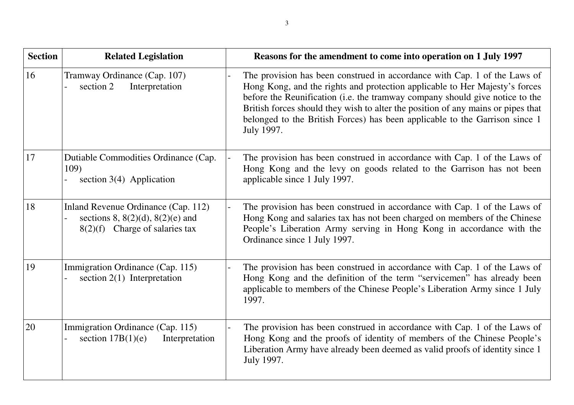| <b>Section</b> | <b>Related Legislation</b>                                                                                       | Reasons for the amendment to come into operation on 1 July 1997                                                                                                                                                                                                                                                                                                                                                           |
|----------------|------------------------------------------------------------------------------------------------------------------|---------------------------------------------------------------------------------------------------------------------------------------------------------------------------------------------------------------------------------------------------------------------------------------------------------------------------------------------------------------------------------------------------------------------------|
| 16             | Tramway Ordinance (Cap. 107)<br>Interpretation<br>section 2                                                      | The provision has been construed in accordance with Cap. 1 of the Laws of<br>Hong Kong, and the rights and protection applicable to Her Majesty's forces<br>before the Reunification (i.e. the tramway company should give notice to the<br>British forces should they wish to alter the position of any mains or pipes that<br>belonged to the British Forces) has been applicable to the Garrison since 1<br>July 1997. |
| 17             | Dutiable Commodities Ordinance (Cap.<br>109)<br>section $3(4)$ Application                                       | The provision has been construed in accordance with Cap. 1 of the Laws of<br>Hong Kong and the levy on goods related to the Garrison has not been<br>applicable since 1 July 1997.                                                                                                                                                                                                                                        |
| 18             | Inland Revenue Ordinance (Cap. 112)<br>sections 8, $8(2)(d)$ , $8(2)(e)$ and<br>$8(2)(f)$ Charge of salaries tax | The provision has been construed in accordance with Cap. 1 of the Laws of<br>Hong Kong and salaries tax has not been charged on members of the Chinese<br>People's Liberation Army serving in Hong Kong in accordance with the<br>Ordinance since 1 July 1997.                                                                                                                                                            |
| 19             | Immigration Ordinance (Cap. 115)<br>section $2(1)$ Interpretation                                                | The provision has been construed in accordance with Cap. 1 of the Laws of<br>Hong Kong and the definition of the term "servicemen" has already been<br>applicable to members of the Chinese People's Liberation Army since 1 July<br>1997.                                                                                                                                                                                |
| 20             | Immigration Ordinance (Cap. 115)<br>section $17B(1)(e)$<br>Interpretation                                        | The provision has been construed in accordance with Cap. 1 of the Laws of<br>Hong Kong and the proofs of identity of members of the Chinese People's<br>Liberation Army have already been deemed as valid proofs of identity since 1<br>July 1997.                                                                                                                                                                        |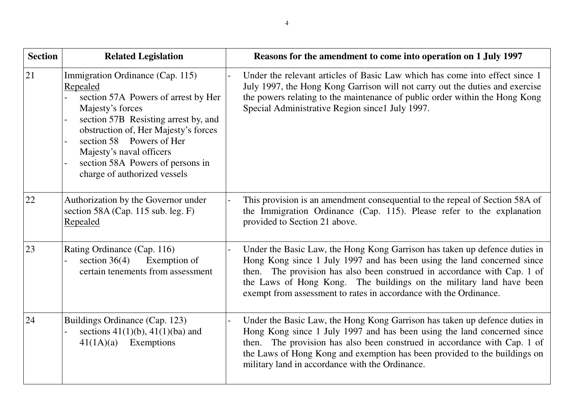| <b>Section</b> | <b>Related Legislation</b>                                                                                                                                                                                                                                                                                          | Reasons for the amendment to come into operation on 1 July 1997                                                                                                                                                                                                                                                                                                               |
|----------------|---------------------------------------------------------------------------------------------------------------------------------------------------------------------------------------------------------------------------------------------------------------------------------------------------------------------|-------------------------------------------------------------------------------------------------------------------------------------------------------------------------------------------------------------------------------------------------------------------------------------------------------------------------------------------------------------------------------|
| 21             | Immigration Ordinance (Cap. 115)<br>Repealed<br>section 57A Powers of arrest by Her<br>Majesty's forces<br>section 57B Resisting arrest by, and<br>obstruction of, Her Majesty's forces<br>section 58 Powers of Her<br>Majesty's naval officers<br>section 58A Powers of persons in<br>charge of authorized vessels | Under the relevant articles of Basic Law which has come into effect since 1<br>July 1997, the Hong Kong Garrison will not carry out the duties and exercise<br>the powers relating to the maintenance of public order within the Hong Kong<br>Special Administrative Region since1 July 1997.                                                                                 |
| 22             | Authorization by the Governor under<br>section 58A (Cap. 115 sub. leg. F)<br>Repealed                                                                                                                                                                                                                               | This provision is an amendment consequential to the repeal of Section 58A of<br>the Immigration Ordinance (Cap. 115). Please refer to the explanation<br>provided to Section 21 above.                                                                                                                                                                                        |
| 23             | Rating Ordinance (Cap. 116)<br>section $36(4)$ Exemption of<br>certain tenements from assessment                                                                                                                                                                                                                    | Under the Basic Law, the Hong Kong Garrison has taken up defence duties in<br>Hong Kong since 1 July 1997 and has been using the land concerned since<br>then. The provision has also been construed in accordance with Cap. 1 of<br>the Laws of Hong Kong. The buildings on the military land have been<br>exempt from assessment to rates in accordance with the Ordinance. |
| 24             | Buildings Ordinance (Cap. 123)<br>sections $41(1)(b)$ , $41(1)(ba)$ and<br>Exemptions<br>41(1A)(a)                                                                                                                                                                                                                  | Under the Basic Law, the Hong Kong Garrison has taken up defence duties in<br>Hong Kong since 1 July 1997 and has been using the land concerned since<br>then. The provision has also been construed in accordance with Cap. 1 of<br>the Laws of Hong Kong and exemption has been provided to the buildings on<br>military land in accordance with the Ordinance.             |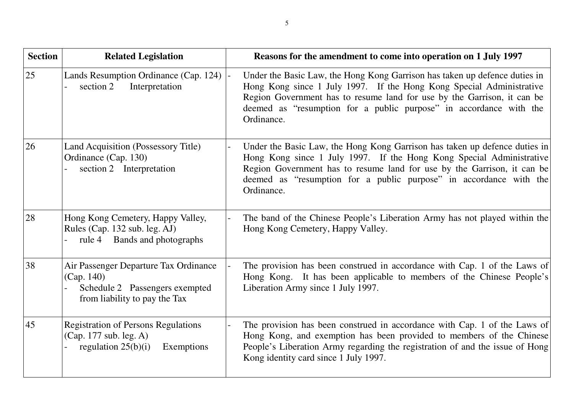| <b>Section</b> | <b>Related Legislation</b>                                                                                             | Reasons for the amendment to come into operation on 1 July 1997                                                                                                                                                                                                                                                   |
|----------------|------------------------------------------------------------------------------------------------------------------------|-------------------------------------------------------------------------------------------------------------------------------------------------------------------------------------------------------------------------------------------------------------------------------------------------------------------|
| 25             | Lands Resumption Ordinance (Cap. 124)<br>Interpretation<br>section 2                                                   | Under the Basic Law, the Hong Kong Garrison has taken up defence duties in<br>Hong Kong since 1 July 1997. If the Hong Kong Special Administrative<br>Region Government has to resume land for use by the Garrison, it can be<br>deemed as "resumption for a public purpose" in accordance with the<br>Ordinance. |
| 26             | Land Acquisition (Possessory Title)<br>Ordinance (Cap. 130)<br>section 2 Interpretation                                | Under the Basic Law, the Hong Kong Garrison has taken up defence duties in<br>Hong Kong since 1 July 1997. If the Hong Kong Special Administrative<br>Region Government has to resume land for use by the Garrison, it can be<br>deemed as "resumption for a public purpose" in accordance with the<br>Ordinance. |
| 28             | Hong Kong Cemetery, Happy Valley,<br>Rules (Cap. 132 sub. leg. AJ)<br>rule 4 Bands and photographs                     | The band of the Chinese People's Liberation Army has not played within the<br>Hong Kong Cemetery, Happy Valley.                                                                                                                                                                                                   |
| 38             | Air Passenger Departure Tax Ordinance<br>(Cap. 140)<br>Schedule 2 Passengers exempted<br>from liability to pay the Tax | The provision has been construed in accordance with Cap. 1 of the Laws of<br>Hong Kong. It has been applicable to members of the Chinese People's<br>Liberation Army since 1 July 1997.                                                                                                                           |
| 45             | <b>Registration of Persons Regulations</b><br>(Cap. 177 sub. leg. A)<br>regulation $25(b)(i)$<br>Exemptions            | The provision has been construed in accordance with Cap. 1 of the Laws of<br>Hong Kong, and exemption has been provided to members of the Chinese<br>People's Liberation Army regarding the registration of and the issue of Hong<br>Kong identity card since 1 July 1997.                                        |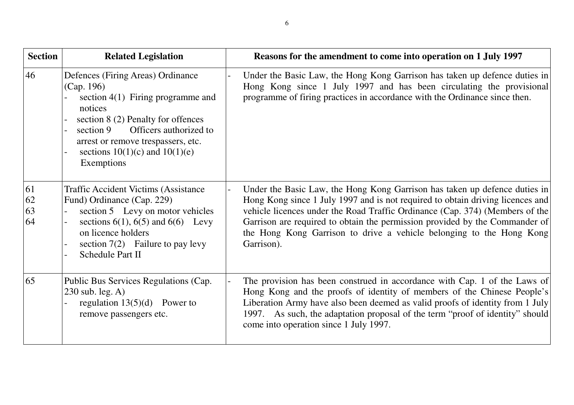| <b>Section</b>       | <b>Related Legislation</b>                                                                                                                                                                                                                                               | Reasons for the amendment to come into operation on 1 July 1997                                                                                                                                                                                                                                                                                                                                                   |
|----------------------|--------------------------------------------------------------------------------------------------------------------------------------------------------------------------------------------------------------------------------------------------------------------------|-------------------------------------------------------------------------------------------------------------------------------------------------------------------------------------------------------------------------------------------------------------------------------------------------------------------------------------------------------------------------------------------------------------------|
| 46                   | Defences (Firing Areas) Ordinance<br>(Cap. 196)<br>section $4(1)$ Firing programme and<br>notices<br>section 8 (2) Penalty for offences<br>Officers authorized to<br>section 9<br>arrest or remove trespassers, etc.<br>sections $10(1)(c)$ and $10(1)(e)$<br>Exemptions | Under the Basic Law, the Hong Kong Garrison has taken up defence duties in<br>Hong Kong since 1 July 1997 and has been circulating the provisional<br>programme of firing practices in accordance with the Ordinance since then.                                                                                                                                                                                  |
| 61<br>62<br>63<br>64 | <b>Traffic Accident Victims (Assistance)</b><br>Fund) Ordinance (Cap. 229)<br>section 5 Levy on motor vehicles<br>sections $6(1)$ , $6(5)$ and $6(6)$ Levy<br>on licence holders<br>section $7(2)$ Failure to pay levy<br>Schedule Part II                               | Under the Basic Law, the Hong Kong Garrison has taken up defence duties in<br>Hong Kong since 1 July 1997 and is not required to obtain driving licences and<br>vehicle licences under the Road Traffic Ordinance (Cap. 374) (Members of the<br>Garrison are required to obtain the permission provided by the Commander of<br>the Hong Kong Garrison to drive a vehicle belonging to the Hong Kong<br>Garrison). |
| 65                   | Public Bus Services Regulations (Cap.<br>230 sub. leg. A)<br>regulation $13(5)(d)$ Power to<br>remove passengers etc.                                                                                                                                                    | The provision has been construed in accordance with Cap. 1 of the Laws of<br>Hong Kong and the proofs of identity of members of the Chinese People's<br>Liberation Army have also been deemed as valid proofs of identity from 1 July<br>1997. As such, the adaptation proposal of the term "proof of identity" should<br>come into operation since 1 July 1997.                                                  |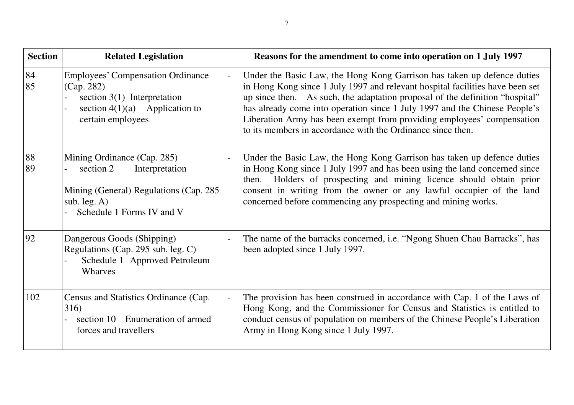| <b>Section</b> | <b>Related Legislation</b>                                                                                                                           | Reasons for the amendment to come into operation on 1 July 1997                                                                                                                                                                                                                                                                                                                                                                                                 |
|----------------|------------------------------------------------------------------------------------------------------------------------------------------------------|-----------------------------------------------------------------------------------------------------------------------------------------------------------------------------------------------------------------------------------------------------------------------------------------------------------------------------------------------------------------------------------------------------------------------------------------------------------------|
| 84<br>85       | <b>Employees' Compensation Ordinance</b><br>(Cap. 282)<br>section $3(1)$ Interpretation<br>section $4(1)(a)$ Application to<br>certain employees     | Under the Basic Law, the Hong Kong Garrison has taken up defence duties<br>in Hong Kong since 1 July 1997 and relevant hospital facilities have been set<br>up since then. As such, the adaptation proposal of the definition "hospital"<br>has already come into operation since 1 July 1997 and the Chinese People's<br>Liberation Army has been exempt from providing employees' compensation<br>to its members in accordance with the Ordinance since then. |
| 88<br>89       | Mining Ordinance (Cap. 285)<br>section 2<br>Interpretation<br>Mining (General) Regulations (Cap. 285)<br>sub. $leg. A)$<br>Schedule 1 Forms IV and V | Under the Basic Law, the Hong Kong Garrison has taken up defence duties<br>in Hong Kong since 1 July 1997 and has been using the land concerned since<br>then. Holders of prospecting and mining licence should obtain prior<br>consent in writing from the owner or any lawful occupier of the land<br>concerned before commencing any prospecting and mining works.                                                                                           |
| 92             | Dangerous Goods (Shipping)<br>Regulations (Cap. 295 sub. leg. C)<br>Schedule 1 Approved Petroleum<br>Wharves                                         | The name of the barracks concerned, i.e. "Ngong Shuen Chau Barracks", has<br>been adopted since 1 July 1997.                                                                                                                                                                                                                                                                                                                                                    |
| 102            | Census and Statistics Ordinance (Cap.<br>316)<br>section 10 Enumeration of armed<br>forces and travellers                                            | The provision has been construed in accordance with Cap. 1 of the Laws of<br>Hong Kong, and the Commissioner for Census and Statistics is entitled to<br>conduct census of population on members of the Chinese People's Liberation<br>Army in Hong Kong since 1 July 1997.                                                                                                                                                                                     |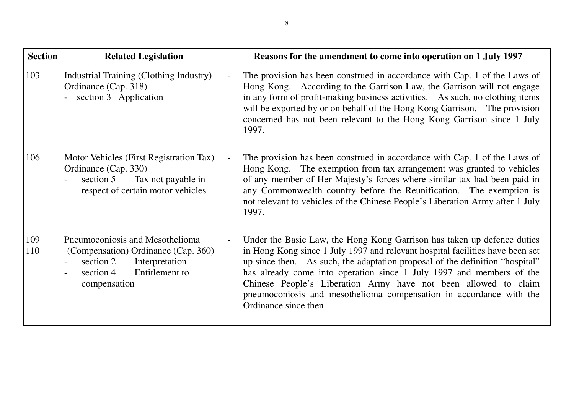| <b>Section</b> | <b>Related Legislation</b>                                                                                                                           | Reasons for the amendment to come into operation on 1 July 1997                                                                                                                                                                                                                                                                                                                                                                                                                     |
|----------------|------------------------------------------------------------------------------------------------------------------------------------------------------|-------------------------------------------------------------------------------------------------------------------------------------------------------------------------------------------------------------------------------------------------------------------------------------------------------------------------------------------------------------------------------------------------------------------------------------------------------------------------------------|
| 103            | Industrial Training (Clothing Industry)<br>Ordinance (Cap. 318)<br>section 3 Application                                                             | The provision has been construed in accordance with Cap. 1 of the Laws of<br>Hong Kong. According to the Garrison Law, the Garrison will not engage<br>in any form of profit-making business activities. As such, no clothing items<br>will be exported by or on behalf of the Hong Kong Garrison. The provision<br>concerned has not been relevant to the Hong Kong Garrison since 1 July<br>1997.                                                                                 |
| 106            | Motor Vehicles (First Registration Tax)<br>Ordinance (Cap. 330)<br>section 5<br>Tax not payable in<br>respect of certain motor vehicles              | The provision has been construed in accordance with Cap. 1 of the Laws of<br>Hong Kong. The exemption from tax arrangement was granted to vehicles<br>of any member of Her Majesty's forces where similar tax had been paid in<br>any Commonwealth country before the Reunification. The exemption is<br>not relevant to vehicles of the Chinese People's Liberation Army after 1 July<br>1997.                                                                                     |
| 109<br>110     | Pneumoconiosis and Mesothelioma<br>(Compensation) Ordinance (Cap. 360)<br>Interpretation<br>section 2<br>Entitlement to<br>section 4<br>compensation | Under the Basic Law, the Hong Kong Garrison has taken up defence duties<br>in Hong Kong since 1 July 1997 and relevant hospital facilities have been set<br>up since then. As such, the adaptation proposal of the definition "hospital"<br>has already come into operation since 1 July 1997 and members of the<br>Chinese People's Liberation Army have not been allowed to claim<br>pneumoconiosis and mesothelioma compensation in accordance with the<br>Ordinance since then. |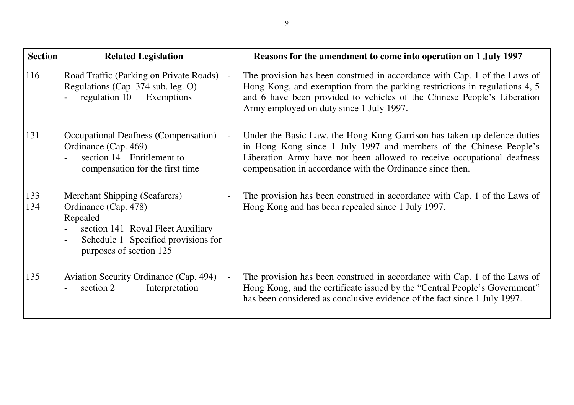| <b>Section</b> | <b>Related Legislation</b>                                                                                                                                                      | Reasons for the amendment to come into operation on 1 July 1997                                                                                                                                                                                                                      |
|----------------|---------------------------------------------------------------------------------------------------------------------------------------------------------------------------------|--------------------------------------------------------------------------------------------------------------------------------------------------------------------------------------------------------------------------------------------------------------------------------------|
| 116            | Road Traffic (Parking on Private Roads)<br>Regulations (Cap. 374 sub. leg. O)<br>regulation 10 Exemptions                                                                       | The provision has been construed in accordance with Cap. 1 of the Laws of<br>Hong Kong, and exemption from the parking restrictions in regulations 4, 5<br>and 6 have been provided to vehicles of the Chinese People's Liberation<br>Army employed on duty since 1 July 1997.       |
| 131            | Occupational Deafness (Compensation)<br>Ordinance (Cap. 469)<br>section 14 Entitlement to<br>compensation for the first time                                                    | Under the Basic Law, the Hong Kong Garrison has taken up defence duties<br>in Hong Kong since 1 July 1997 and members of the Chinese People's<br>Liberation Army have not been allowed to receive occupational deafness<br>compensation in accordance with the Ordinance since then. |
| 133<br>134     | <b>Merchant Shipping (Seafarers)</b><br>Ordinance (Cap. 478)<br>Repealed<br>section 141 Royal Fleet Auxiliary<br>Schedule 1 Specified provisions for<br>purposes of section 125 | The provision has been construed in accordance with Cap. 1 of the Laws of<br>Hong Kong and has been repealed since 1 July 1997.                                                                                                                                                      |
| 135            | Aviation Security Ordinance (Cap. 494)<br>section 2<br>Interpretation                                                                                                           | The provision has been construed in accordance with Cap. 1 of the Laws of<br>Hong Kong, and the certificate issued by the "Central People's Government"<br>has been considered as conclusive evidence of the fact since 1 July 1997.                                                 |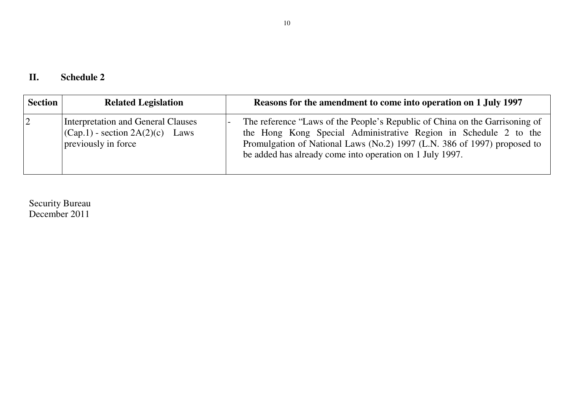| Π. | <b>Schedule 2</b> |
|----|-------------------|
|----|-------------------|

| <b>Section</b> | <b>Related Legislation</b>                                                                                 | Reasons for the amendment to come into operation on 1 July 1997                                                                                                                                                                                                                         |
|----------------|------------------------------------------------------------------------------------------------------------|-----------------------------------------------------------------------------------------------------------------------------------------------------------------------------------------------------------------------------------------------------------------------------------------|
| $\overline{2}$ | Interpretation and General Clauses<br>$ ({\rm Cap.1})$ - section $2A(2)(c)$<br>Laws<br>previously in force | The reference "Laws of the People's Republic of China on the Garrisoning of<br>the Hong Kong Special Administrative Region in Schedule 2 to the<br>Promulgation of National Laws (No.2) 1997 (L.N. 386 of 1997) proposed to<br>be added has already come into operation on 1 July 1997. |

Security Bureau December 2011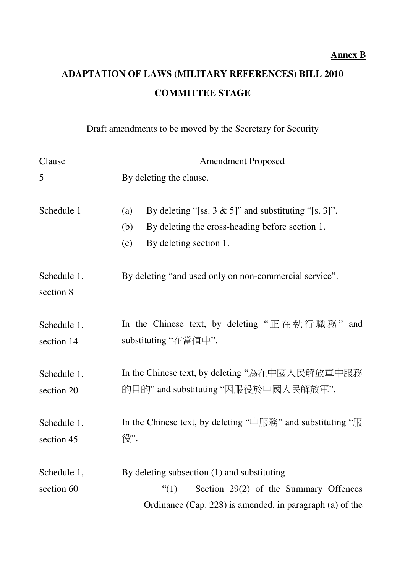## **ADAPTATION OF LAWS (MILITARY REFERENCES) BILL 2010 COMMITTEE STAGE**

Draft amendments to be moved by the Secretary for Security

| Clause                    | <b>Amendment Proposed</b>                                                                                                                                                                                                                                                                                                             |
|---------------------------|---------------------------------------------------------------------------------------------------------------------------------------------------------------------------------------------------------------------------------------------------------------------------------------------------------------------------------------|
| 5                         | By deleting the clause.                                                                                                                                                                                                                                                                                                               |
| Schedule 1                | By deleting "[ss. $3 \& 5$ ]" and substituting "[s. 3]".<br>(a)<br>By deleting the cross-heading before section 1.<br>(b)<br>(c)<br>By deleting section 1.                                                                                                                                                                            |
| Schedule 1,<br>section 8  | By deleting "and used only on non-commercial service".                                                                                                                                                                                                                                                                                |
| Schedule 1,<br>section 14 | In the Chinese text, by deleting " $E \pm \frac{1}{2}$ $\frac{1}{2}$ $\frac{1}{2}$ $\frac{1}{2}$ $\frac{1}{2}$ $\frac{1}{2}$ $\frac{1}{2}$ $\frac{1}{2}$ $\frac{1}{2}$ $\frac{1}{2}$ $\frac{1}{2}$ $\frac{1}{2}$ $\frac{1}{2}$ $\frac{1}{2}$ $\frac{1}{2}$ $\frac{1}{2}$ $\frac{1}{2}$ $\frac{1}{2}$ $\frac{$<br>substituting "在當值中". |
| Schedule 1,<br>section 20 | In the Chinese text, by deleting "為在中國人民解放軍中服務<br>的目的" and substituting "因服役於中國人民解放軍".                                                                                                                                                                                                                                                |
| Schedule 1,<br>section 45 | In the Chinese text, by deleting " $\#$ $\mathbb{R}$ $\mathbb{R}$ " and substituting " $\mathbb{R}$<br>役".                                                                                                                                                                                                                            |
| Schedule 1,<br>section 60 | By deleting subsection $(1)$ and substituting –<br>Section 29(2) of the Summary Offences<br>$\lq(1)$<br>Ordinance (Cap. 228) is amended, in paragraph (a) of the                                                                                                                                                                      |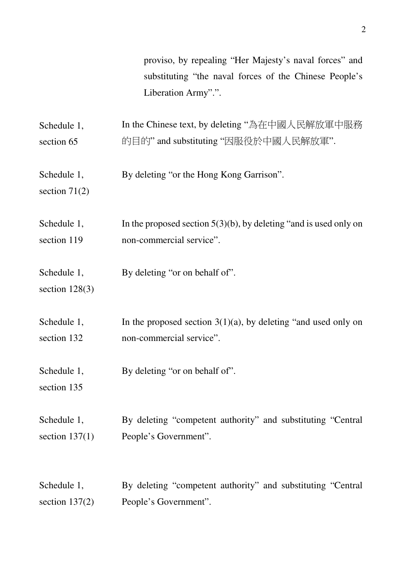proviso, by repealing "Her Majesty's naval forces" and substituting "the naval forces of the Chinese People's Liberation Army".".

Schedule 1, section 65 In the Chinese text, by deleting "為在中國人民解放軍中服務 的目的" and substituting "因服役於中國人民解放軍".

Schedule 1, By deleting "or the Hong Kong Garrison".

section 71(2)

Schedule 1, section 119 In the proposed section  $5(3)(b)$ , by deleting "and is used only on non-commercial service".

Schedule 1, By deleting "or on behalf of".

section 128(3)

Schedule 1, section 132 In the proposed section  $3(1)(a)$ , by deleting "and used only on non-commercial service".

Schedule 1, By deleting "or on behalf of".

section 135

Schedule 1, section  $137(1)$ By deleting "competent authority" and substituting "Central People's Government".

Schedule 1, section 137(2) By deleting "competent authority" and substituting "Central People's Government".